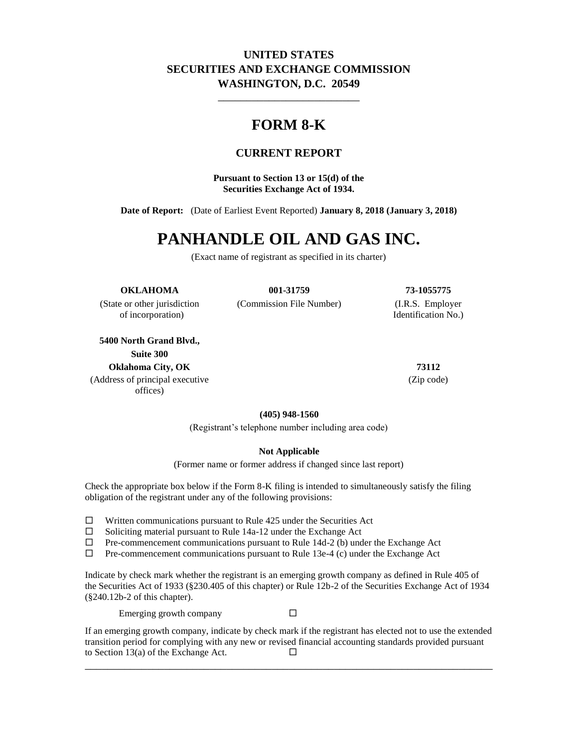## **UNITED STATES SECURITIES AND EXCHANGE COMMISSION WASHINGTON, D.C. 20549**

\_\_\_\_\_\_\_\_\_\_\_\_\_\_\_\_\_\_\_\_\_\_\_\_\_

# **FORM 8-K**

## **CURRENT REPORT**

**Pursuant to Section 13 or 15(d) of the Securities Exchange Act of 1934.**

**Date of Report:** (Date of Earliest Event Reported) **January 8, 2018 (January 3, 2018)**

# **PANHANDLE OIL AND GAS INC.**

(Exact name of registrant as specified in its charter)

#### **OKLAHOMA 001-31759 73-1055775**

of incorporation) Identification No.)

**5400 North Grand Blvd., Suite 300 Oklahoma City, OK 73112**

(Address of principal executive offices)

(State or other jurisdiction (Commission File Number) (I.R.S. Employer

(Zip code)

**(405) 948-1560**

(Registrant's telephone number including area code)

#### **Not Applicable**

(Former name or former address if changed since last report)

Check the appropriate box below if the Form 8-K filing is intended to simultaneously satisfy the filing obligation of the registrant under any of the following provisions:

- $\Box$  Written communications pursuant to Rule 425 under the Securities Act
- $\square$  Soliciting material pursuant to Rule 14a-12 under the Exchange Act  $\square$  Pre-commencement communications pursuant to Rule 14d-2 (b) und
- Pre-commencement communications pursuant to Rule 14d-2 (b) under the Exchange Act
- $\Box$  Pre-commencement communications pursuant to Rule 13e-4 (c) under the Exchange Act

Indicate by check mark whether the registrant is an emerging growth company as defined in Rule 405 of the Securities Act of 1933 (§230.405 of this chapter) or Rule 12b-2 of the Securities Exchange Act of 1934 (§240.12b-2 of this chapter).

Emerging growth company  $\square$ 

If an emerging growth company, indicate by check mark if the registrant has elected not to use the extended transition period for complying with any new or revised financial accounting standards provided pursuant to Section 13(a) of the Exchange Act.  $\Box$ \_\_\_\_\_\_\_\_\_\_\_\_\_\_\_\_\_\_\_\_\_\_\_\_\_\_\_\_\_\_\_\_\_\_\_\_\_\_\_\_\_\_\_\_\_\_\_\_\_\_\_\_\_\_\_\_\_\_\_\_\_\_\_\_\_\_\_\_\_\_\_\_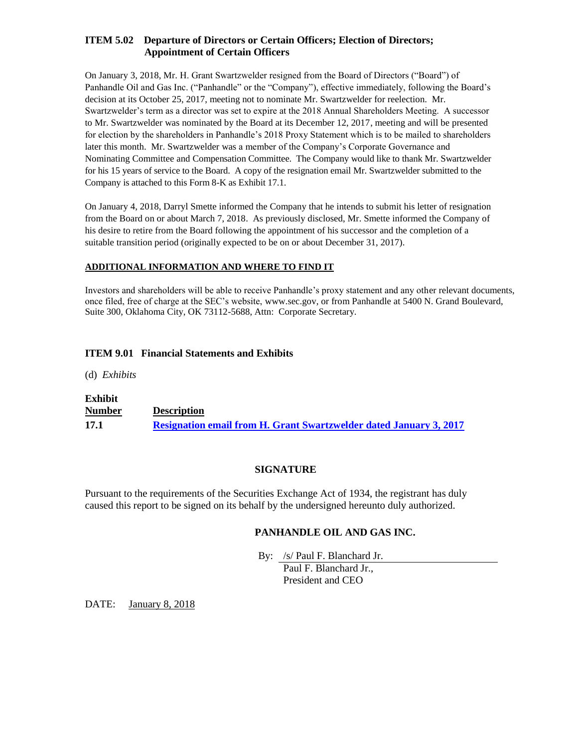#### **ITEM 5.02 Departure of Directors or Certain Officers; Election of Directors; Appointment of Certain Officers**

On January 3, 2018, Mr. H. Grant Swartzwelder resigned from the Board of Directors ("Board") of Panhandle Oil and Gas Inc. ("Panhandle" or the "Company"), effective immediately, following the Board's decision at its October 25, 2017, meeting not to nominate Mr. Swartzwelder for reelection. Mr. Swartzwelder's term as a director was set to expire at the 2018 Annual Shareholders Meeting. A successor to Mr. Swartzwelder was nominated by the Board at its December 12, 2017, meeting and will be presented for election by the shareholders in Panhandle's 2018 Proxy Statement which is to be mailed to shareholders later this month. Mr. Swartzwelder was a member of the Company's Corporate Governance and Nominating Committee and Compensation Committee. The Company would like to thank Mr. Swartzwelder for his 15 years of service to the Board. A copy of the resignation email Mr. Swartzwelder submitted to the Company is attached to this Form 8-K as Exhibit 17.1.

On January 4, 2018, Darryl Smette informed the Company that he intends to submit his letter of resignation from the Board on or about March 7, 2018. As previously disclosed, Mr. Smette informed the Company of his desire to retire from the Board following the appointment of his successor and the completion of a suitable transition period (originally expected to be on or about December 31, 2017).

#### **ADDITIONAL INFORMATION AND WHERE TO FIND IT**

Investors and shareholders will be able to receive Panhandle's proxy statement and any other relevant documents, once filed, free of charge at the SEC's website, www.sec.gov, or from Panhandle at 5400 N. Grand Boulevard, Suite 300, Oklahoma City, OK 73112-5688, Attn: Corporate Secretary.

#### **ITEM 9.01 Financial Statements and Exhibits**

(d) *Exhibits*

# **Exhibit**

# **Number Description 17.1 [Resignation email from H. Grant Swartzwelder dated January 3, 2017](file:///C:/Users/smorris/AppData/Local/Temp/Temp4_Draft%20Version%204.0.zip/Proof/phx-ex171_6.htm)**

## **SIGNATURE**

Pursuant to the requirements of the Securities Exchange Act of 1934, the registrant has duly caused this report to be signed on its behalf by the undersigned hereunto duly authorized.

## **PANHANDLE OIL AND GAS INC.**

By: /s/ Paul F. Blanchard Jr.

Paul F. Blanchard Jr., President and CEO

DATE: January 8, 2018